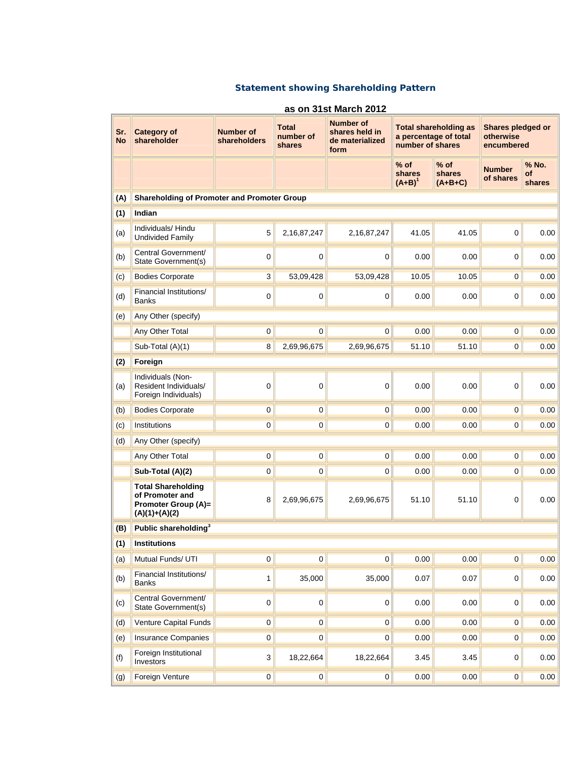## **Statement showing Shareholding Pattern**

| as on 31st March 2012 |                                                                                        |                                  |                                     |                                                               |                               |                                                       |                                              |                       |  |  |  |  |  |
|-----------------------|----------------------------------------------------------------------------------------|----------------------------------|-------------------------------------|---------------------------------------------------------------|-------------------------------|-------------------------------------------------------|----------------------------------------------|-----------------------|--|--|--|--|--|
| Sr.<br><b>No</b>      | <b>Category of</b><br>shareholder                                                      | <b>Number of</b><br>shareholders | <b>Total</b><br>number of<br>shares | <b>Number of</b><br>shares held in<br>de materialized<br>form | number of shares              | <b>Total shareholding as</b><br>a percentage of total | Shares pledged or<br>otherwise<br>encumbered |                       |  |  |  |  |  |
|                       |                                                                                        |                                  |                                     |                                                               | $%$ of<br>shares<br>$(A+B)^1$ | $%$ of<br>shares<br>$(A+B+C)$                         | <b>Number</b><br>of shares                   | % No.<br>of<br>shares |  |  |  |  |  |
| (A)                   | <b>Shareholding of Promoter and Promoter Group</b>                                     |                                  |                                     |                                                               |                               |                                                       |                                              |                       |  |  |  |  |  |
| (1)                   | Indian                                                                                 |                                  |                                     |                                                               |                               |                                                       |                                              |                       |  |  |  |  |  |
| (a)                   | Individuals/Hindu<br><b>Undivided Family</b>                                           | 5                                | 2,16,87,247                         | 2,16,87,247                                                   | 41.05                         | 41.05                                                 | 0                                            | 0.00                  |  |  |  |  |  |
| (b)                   | Central Government/<br>State Government(s)                                             | 0                                | 0                                   | 0                                                             | 0.00                          | 0.00                                                  | 0                                            | 0.00                  |  |  |  |  |  |
| (c)                   | <b>Bodies Corporate</b>                                                                | 3                                | 53,09,428                           | 53,09,428                                                     | 10.05                         | 10.05                                                 | $\mathbf 0$                                  | 0.00                  |  |  |  |  |  |
| (d)                   | Financial Institutions/<br><b>Banks</b>                                                | 0                                | $\pmb{0}$                           | $\mathbf 0$                                                   | 0.00                          | 0.00                                                  | 0                                            | 0.00                  |  |  |  |  |  |
| (e)                   | Any Other (specify)                                                                    |                                  |                                     |                                                               |                               |                                                       |                                              |                       |  |  |  |  |  |
|                       | Any Other Total                                                                        | $\overline{0}$                   | $\overline{0}$                      | $\overline{0}$                                                | 0.00                          | 0.00                                                  | $\overline{0}$                               | 0.00                  |  |  |  |  |  |
|                       | Sub-Total (A)(1)                                                                       | $\overline{8}$                   | 2,69,96,675                         | 2,69,96,675                                                   | 51.10                         | 51.10                                                 | $\overline{0}$                               | 0.00                  |  |  |  |  |  |
| (2)                   | Foreign                                                                                |                                  |                                     |                                                               |                               |                                                       |                                              |                       |  |  |  |  |  |
| (a)                   | Individuals (Non-<br>Resident Individuals/<br>Foreign Individuals)                     | 0                                | 0                                   | 0                                                             | 0.00                          | 0.00                                                  | 0                                            | 0.00                  |  |  |  |  |  |
| (b)                   | <b>Bodies Corporate</b>                                                                | 0                                | 0                                   | $\overline{0}$                                                | 0.00                          | 0.00                                                  | $\overline{0}$                               | 0.00                  |  |  |  |  |  |
| (c)                   | Institutions                                                                           | $\overline{0}$                   | $\overline{0}$                      | $\pmb{0}$                                                     | 0.00                          | 0.00                                                  | $\overline{0}$                               | 0.00                  |  |  |  |  |  |
| (d)                   | Any Other (specify)                                                                    |                                  |                                     |                                                               |                               |                                                       |                                              |                       |  |  |  |  |  |
|                       | Any Other Total                                                                        | $\overline{0}$                   | $\overline{0}$                      | $\overline{0}$                                                | 0.00                          | 0.00                                                  | $\overline{\text{o}}$                        | 0.00                  |  |  |  |  |  |
|                       | Sub-Total (A)(2)                                                                       | 0                                | $\overline{0}$                      | $\mathbf 0$                                                   | 0.00                          | 0.00                                                  | $\pmb{0}$                                    | 0.00                  |  |  |  |  |  |
|                       | <b>Total Shareholding</b><br>of Promoter and<br>Promoter Group (A)=<br>$(A)(1)+(A)(2)$ | 8                                | 2,69,96,675                         | 2,69,96,675                                                   | 51.10                         | 51.10                                                 | 0                                            | 0.00                  |  |  |  |  |  |
| (B)                   | Public shareholding <sup>3</sup>                                                       |                                  |                                     |                                                               |                               |                                                       |                                              |                       |  |  |  |  |  |
| (1)                   | <b>Institutions</b>                                                                    |                                  |                                     |                                                               |                               |                                                       |                                              |                       |  |  |  |  |  |
| (a)                   | Mutual Funds/ UTI                                                                      | $\overline{\text{o}}$            | $\overline{0}$                      | $\overline{\textbf{0}}$                                       | 0.00                          | 0.00                                                  | $\overline{\textbf{0}}$                      | 0.00                  |  |  |  |  |  |
| (b)                   | Financial Institutions/<br><b>Banks</b>                                                | 1                                | 35,000                              | 35,000                                                        | 0.07                          | 0.07                                                  | 0                                            | 0.00                  |  |  |  |  |  |
| (c)                   | Central Government/<br>State Government(s)                                             | 0                                | $\mathbf 0$                         | $\pmb{0}$                                                     | 0.00                          | 0.00                                                  | 0                                            | 0.00                  |  |  |  |  |  |
| (d)                   | Venture Capital Funds                                                                  | 0                                | $\mathbf 0$                         | 0                                                             | 0.00                          | 0.00                                                  | 0                                            | 0.00                  |  |  |  |  |  |
| (e)                   | <b>Insurance Companies</b>                                                             | $\overline{0}$                   | $\overline{0}$                      | $\overline{0}$                                                | 0.00                          | 0.00                                                  | $\overline{\text{o}}$                        | 0.00                  |  |  |  |  |  |
| (f)                   | Foreign Institutional<br>Investors                                                     | 3                                | 18,22,664                           | 18,22,664                                                     | 3.45                          | 3.45                                                  | 0                                            | 0.00                  |  |  |  |  |  |
| (g)                   | <b>Foreign Venture</b>                                                                 | $\overline{0}$                   | $\overline{0}$                      | $\overline{\mathbf{0}}$                                       | 0.00                          | 0.00                                                  | $\pmb{0}$                                    | 0.00                  |  |  |  |  |  |